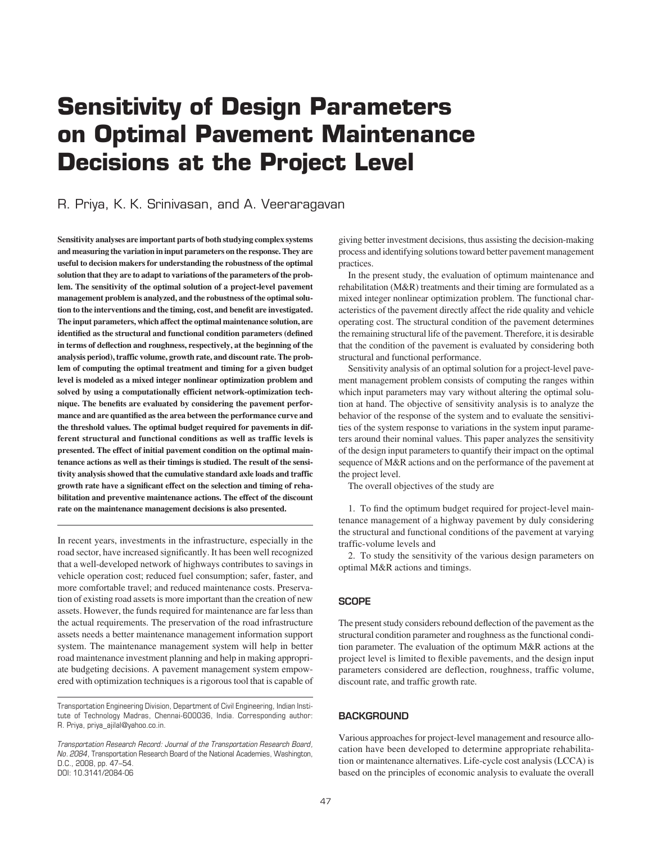# **Sensitivity of Design Parameters on Optimal Pavement Maintenance Decisions at the Project Level**

## R. Priya, K. K. Srinivasan, and A. Veeraragavan

**Sensitivity analyses are important parts of both studying complex systems and measuring the variation in input parameters on the response. They are useful to decision makers for understanding the robustness of the optimal solution that they are to adapt to variations of the parameters of the problem. The sensitivity of the optimal solution of a project-level pavement management problem is analyzed, and the robustness of the optimal solution to the interventions and the timing, cost, and benefit are investigated. The input parameters, which affect the optimal maintenance solution, are identified as the structural and functional condition parameters (defined in terms of deflection and roughness, respectively, at the beginning of the analysis period), traffic volume, growth rate, and discount rate. The problem of computing the optimal treatment and timing for a given budget level is modeled as a mixed integer nonlinear optimization problem and solved by using a computationally efficient network-optimization technique. The benefits are evaluated by considering the pavement performance and are quantified as the area between the performance curve and the threshold values. The optimal budget required for pavements in different structural and functional conditions as well as traffic levels is presented. The effect of initial pavement condition on the optimal maintenance actions as well as their timings is studied. The result of the sensitivity analysis showed that the cumulative standard axle loads and traffic growth rate have a significant effect on the selection and timing of rehabilitation and preventive maintenance actions. The effect of the discount rate on the maintenance management decisions is also presented.**

In recent years, investments in the infrastructure, especially in the road sector, have increased significantly. It has been well recognized that a well-developed network of highways contributes to savings in vehicle operation cost; reduced fuel consumption; safer, faster, and more comfortable travel; and reduced maintenance costs. Preservation of existing road assets is more important than the creation of new assets. However, the funds required for maintenance are far less than the actual requirements. The preservation of the road infrastructure assets needs a better maintenance management information support system. The maintenance management system will help in better road maintenance investment planning and help in making appropriate budgeting decisions. A pavement management system empowered with optimization techniques is a rigorous tool that is capable of

giving better investment decisions, thus assisting the decision-making process and identifying solutions toward better pavement management practices.

In the present study, the evaluation of optimum maintenance and rehabilitation (M&R) treatments and their timing are formulated as a mixed integer nonlinear optimization problem. The functional characteristics of the pavement directly affect the ride quality and vehicle operating cost. The structural condition of the pavement determines the remaining structural life of the pavement. Therefore, it is desirable that the condition of the pavement is evaluated by considering both structural and functional performance.

Sensitivity analysis of an optimal solution for a project-level pavement management problem consists of computing the ranges within which input parameters may vary without altering the optimal solution at hand. The objective of sensitivity analysis is to analyze the behavior of the response of the system and to evaluate the sensitivities of the system response to variations in the system input parameters around their nominal values. This paper analyzes the sensitivity of the design input parameters to quantify their impact on the optimal sequence of M&R actions and on the performance of the pavement at the project level.

The overall objectives of the study are

1. To find the optimum budget required for project-level maintenance management of a highway pavement by duly considering the structural and functional conditions of the pavement at varying traffic-volume levels and

2. To study the sensitivity of the various design parameters on optimal M&R actions and timings.

#### **SCOPE**

The present study considers rebound deflection of the pavement as the structural condition parameter and roughness as the functional condition parameter. The evaluation of the optimum M&R actions at the project level is limited to flexible pavements, and the design input parameters considered are deflection, roughness, traffic volume, discount rate, and traffic growth rate.

## **BACKGROUND**

Various approaches for project-level management and resource allocation have been developed to determine appropriate rehabilitation or maintenance alternatives. Life-cycle cost analysis (LCCA) is based on the principles of economic analysis to evaluate the overall

Transportation Engineering Division, Department of Civil Engineering, Indian Institute of Technology Madras, Chennai-600036, India. Corresponding author: R. Priya, priya\_ajilal@yahoo.co.in.

*Transportation Research Record: Journal of the Transportation Research Board, No. 2084,* Transportation Research Board of the National Academies, Washington, D.C., 2008, pp. 47–54. DOI: 10.3141/2084-06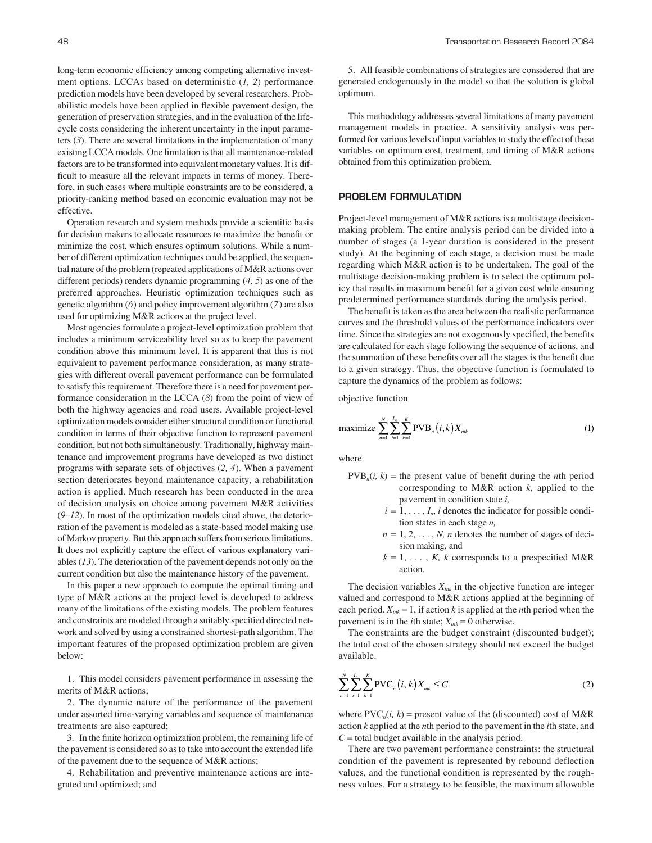long-term economic efficiency among competing alternative investment options. LCCAs based on deterministic (*1, 2*) performance prediction models have been developed by several researchers. Probabilistic models have been applied in flexible pavement design, the generation of preservation strategies, and in the evaluation of the lifecycle costs considering the inherent uncertainty in the input parameters (*3*). There are several limitations in the implementation of many existing LCCA models. One limitation is that all maintenance-related factors are to be transformed into equivalent monetary values. It is difficult to measure all the relevant impacts in terms of money. Therefore, in such cases where multiple constraints are to be considered, a priority-ranking method based on economic evaluation may not be effective.

Operation research and system methods provide a scientific basis for decision makers to allocate resources to maximize the benefit or minimize the cost, which ensures optimum solutions. While a number of different optimization techniques could be applied, the sequential nature of the problem (repeated applications of M&R actions over different periods) renders dynamic programming (*4, 5*) as one of the preferred approaches. Heuristic optimization techniques such as genetic algorithm (*6*) and policy improvement algorithm (*7*) are also used for optimizing M&R actions at the project level.

Most agencies formulate a project-level optimization problem that includes a minimum serviceability level so as to keep the pavement condition above this minimum level. It is apparent that this is not equivalent to pavement performance consideration, as many strategies with different overall pavement performance can be formulated to satisfy this requirement. Therefore there is a need for pavement performance consideration in the LCCA (*8*) from the point of view of both the highway agencies and road users. Available project-level optimization models consider either structural condition or functional condition in terms of their objective function to represent pavement condition, but not both simultaneously. Traditionally, highway maintenance and improvement programs have developed as two distinct programs with separate sets of objectives (*2, 4*). When a pavement section deteriorates beyond maintenance capacity, a rehabilitation action is applied. Much research has been conducted in the area of decision analysis on choice among pavement M&R activities (*9–12*). In most of the optimization models cited above, the deterioration of the pavement is modeled as a state-based model making use of Markov property. But this approach suffers from serious limitations. It does not explicitly capture the effect of various explanatory variables (*13*). The deterioration of the pavement depends not only on the current condition but also the maintenance history of the pavement.

In this paper a new approach to compute the optimal timing and type of M&R actions at the project level is developed to address many of the limitations of the existing models. The problem features and constraints are modeled through a suitably specified directed network and solved by using a constrained shortest-path algorithm. The important features of the proposed optimization problem are given below:

1. This model considers pavement performance in assessing the merits of M&R actions;

2. The dynamic nature of the performance of the pavement under assorted time-varying variables and sequence of maintenance treatments are also captured;

3. In the finite horizon optimization problem, the remaining life of the pavement is considered so as to take into account the extended life of the pavement due to the sequence of M&R actions;

4. Rehabilitation and preventive maintenance actions are integrated and optimized; and

5. All feasible combinations of strategies are considered that are generated endogenously in the model so that the solution is global optimum.

This methodology addresses several limitations of many pavement management models in practice. A sensitivity analysis was performed for various levels of input variables to study the effect of these variables on optimum cost, treatment, and timing of M&R actions obtained from this optimization problem.

## PROBLEM FORMULATION

Project-level management of M&R actions is a multistage decisionmaking problem. The entire analysis period can be divided into a number of stages (a 1-year duration is considered in the present study). At the beginning of each stage, a decision must be made regarding which M&R action is to be undertaken. The goal of the multistage decision-making problem is to select the optimum policy that results in maximum benefit for a given cost while ensuring predetermined performance standards during the analysis period.

The benefit is taken as the area between the realistic performance curves and the threshold values of the performance indicators over time. Since the strategies are not exogenously specified, the benefits are calculated for each stage following the sequence of actions, and the summation of these benefits over all the stages is the benefit due to a given strategy. Thus, the objective function is formulated to capture the dynamics of the problem as follows:

objective function

maximize 
$$
\sum_{n=1}^{N} \sum_{i=1}^{I_n} \sum_{k=1}^{K} \text{PVB}_n(i,k) X_{ink}
$$
 (1)

where

- $PVB_n(i, k)$  = the present value of benefit during the *n*th period corresponding to M&R action *k,* applied to the pavement in condition state *i,*
	- $i = 1, \ldots, I_n$ , *i* denotes the indicator for possible condition states in each stage *n,*
	- $n = 1, 2, \ldots, N$ , *n* denotes the number of stages of decision making, and
	- $k = 1, \ldots, K$ , *k* corresponds to a prespecified M&R action.

The decision variables *Xink* in the objective function are integer valued and correspond to M&R actions applied at the beginning of each period.  $X_{ink} = 1$ , if action *k* is applied at the *n*th period when the pavement is in the *i*th state;  $X_{ink} = 0$  otherwise.

The constraints are the budget constraint (discounted budget); the total cost of the chosen strategy should not exceed the budget available.

$$
\sum_{n=1}^{N} \sum_{i=1}^{I_n} \sum_{k=1}^{K} \text{PVC}_n(i,k) X_{ink} \le C \tag{2}
$$

where  $\text{PVC}_n(i, k)$  = present value of the (discounted) cost of M&R action *k* applied at the *n*th period to the pavement in the *i*th state, and  $C =$  total budget available in the analysis period.

There are two pavement performance constraints: the structural condition of the pavement is represented by rebound deflection values, and the functional condition is represented by the roughness values. For a strategy to be feasible, the maximum allowable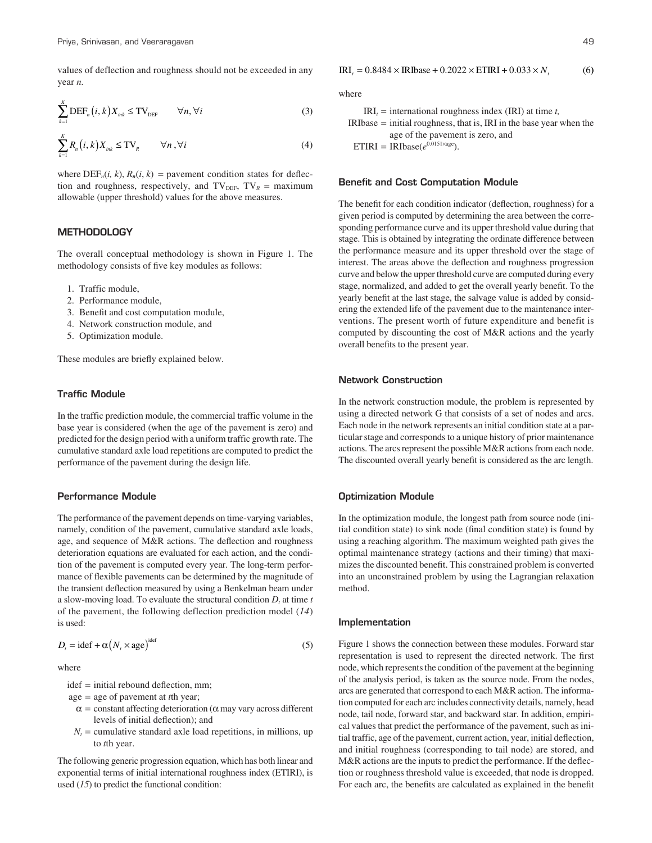values of deflection and roughness should not be exceeded in any year *n.*

$$
\sum_{k=1}^{K} \text{DEF}_{n}(i,k) X_{ink} \leq \text{TV}_{\text{DEF}} \qquad \forall n, \forall i
$$
 (3)

$$
\sum_{k=1}^{K} R_n(i,k) X_{ink} \leq TV_R \qquad \forall n, \forall i
$$
\n(4)

where  $DEF_n(i, k)$ ,  $R_n(i, k)$  = pavement condition states for deflection and roughness, respectively, and  $TV_{DEF}$ ,  $TV_R$  = maximum allowable (upper threshold) values for the above measures.

#### METHODOLOGY

The overall conceptual methodology is shown in Figure 1. The methodology consists of five key modules as follows:

- 1. Traffic module,
- 2. Performance module,
- 3. Benefit and cost computation module,
- 4. Network construction module, and
- 5. Optimization module.

These modules are briefly explained below.

## Traffic Module

In the traffic prediction module, the commercial traffic volume in the base year is considered (when the age of the pavement is zero) and predicted for the design period with a uniform traffic growth rate. The cumulative standard axle load repetitions are computed to predict the performance of the pavement during the design life.

#### Performance Module

The performance of the pavement depends on time-varying variables, namely, condition of the pavement, cumulative standard axle loads, age, and sequence of M&R actions. The deflection and roughness deterioration equations are evaluated for each action, and the condition of the pavement is computed every year. The long-term performance of flexible pavements can be determined by the magnitude of the transient deflection measured by using a Benkelman beam under a slow-moving load. To evaluate the structural condition  $D_t$  at time  $t$ of the pavement, the following deflection prediction model (*14*) is used:

$$
D_t = \text{idef} + \alpha \big(N_t \times \text{age}\big)^{\text{idef}} \tag{5}
$$

where

- idef = initial rebound deflection, mm;
- age = age of pavement at *t*th year;
- $\alpha$  = constant affecting deterioration ( $\alpha$  may vary across different levels of initial deflection); and
- $N_t$  = cumulative standard axle load repetitions, in millions, up to *t*th year.

The following generic progression equation, which has both linear and exponential terms of initial international roughness index (ETIRI), is used (*15*) to predict the functional condition:

$$
IRIt = 0.8484 \times IRI base + 0.2022 \times ETRI + 0.033 \times Nt
$$
 (6)

where

| $IRI_t =$ international roughness index (IRI) at time t.            |
|---------------------------------------------------------------------|
| IRIbase = initial roughness, that is, IRI in the base year when the |
| age of the pavement is zero, and                                    |
| ETIRI = IRIbase( $e^{0.0151 \times age}$ ).                         |

#### Benefit and Cost Computation Module

The benefit for each condition indicator (deflection, roughness) for a given period is computed by determining the area between the corresponding performance curve and its upper threshold value during that stage. This is obtained by integrating the ordinate difference between the performance measure and its upper threshold over the stage of interest. The areas above the deflection and roughness progression curve and below the upper threshold curve are computed during every stage, normalized, and added to get the overall yearly benefit. To the yearly benefit at the last stage, the salvage value is added by considering the extended life of the pavement due to the maintenance interventions. The present worth of future expenditure and benefit is computed by discounting the cost of M&R actions and the yearly overall benefits to the present year.

## Network Construction

In the network construction module, the problem is represented by using a directed network G that consists of a set of nodes and arcs. Each node in the network represents an initial condition state at a particular stage and corresponds to a unique history of prior maintenance actions. The arcs represent the possible M&R actions from each node. The discounted overall yearly benefit is considered as the arc length.

#### Optimization Module

In the optimization module, the longest path from source node (initial condition state) to sink node (final condition state) is found by using a reaching algorithm. The maximum weighted path gives the optimal maintenance strategy (actions and their timing) that maximizes the discounted benefit. This constrained problem is converted into an unconstrained problem by using the Lagrangian relaxation method.

#### Implementation

Figure 1 shows the connection between these modules. Forward star representation is used to represent the directed network. The first node, which represents the condition of the pavement at the beginning of the analysis period, is taken as the source node. From the nodes, arcs are generated that correspond to each M&R action. The information computed for each arc includes connectivity details, namely, head node, tail node, forward star, and backward star. In addition, empirical values that predict the performance of the pavement, such as initial traffic, age of the pavement, current action, year, initial deflection, and initial roughness (corresponding to tail node) are stored, and M&R actions are the inputs to predict the performance. If the deflection or roughness threshold value is exceeded, that node is dropped. For each arc, the benefits are calculated as explained in the benefit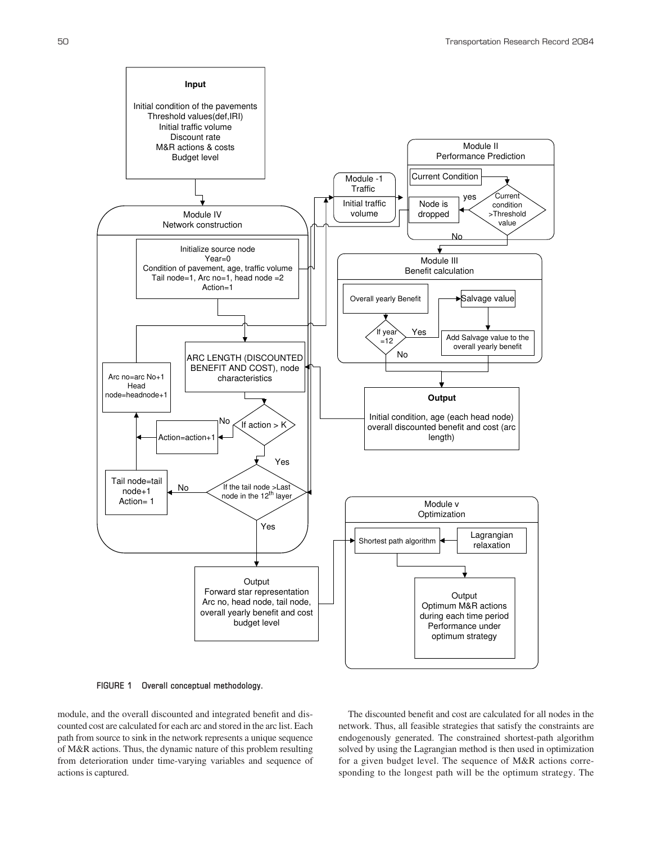

**FIGURE 1 Overall conceptual methodology.**

module, and the overall discounted and integrated benefit and discounted cost are calculated for each arc and stored in the arc list. Each path from source to sink in the network represents a unique sequence of M&R actions. Thus, the dynamic nature of this problem resulting from deterioration under time-varying variables and sequence of actions is captured.

The discounted benefit and cost are calculated for all nodes in the network. Thus, all feasible strategies that satisfy the constraints are endogenously generated. The constrained shortest-path algorithm solved by using the Lagrangian method is then used in optimization for a given budget level. The sequence of M&R actions corresponding to the longest path will be the optimum strategy. The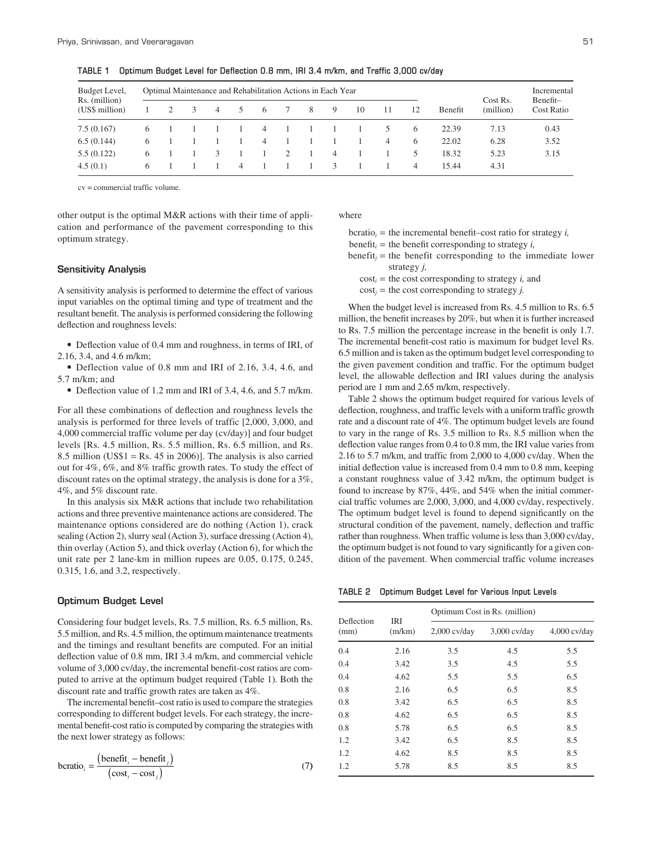| Budget Level,<br>Rs. (million)<br>(US\$ million) |   | Optimal Maintenance and Rehabilitation Actions in Each Year |   |               | Incremental |                |                 |    |                |    |                |    |         |                       |                        |
|--------------------------------------------------|---|-------------------------------------------------------------|---|---------------|-------------|----------------|-----------------|----|----------------|----|----------------|----|---------|-----------------------|------------------------|
|                                                  |   |                                                             | 3 | 4             | 5           | - 6            | $7\overline{ }$ | -8 | 9              | 10 |                | 12 | Benefit | Cost Rs.<br>(million) | Benefit-<br>Cost Ratio |
| 7.5(0.167)                                       | 6 |                                                             |   |               |             | $\overline{4}$ |                 |    |                |    | 5.             |    | 22.39   | 7.13                  | 0.43                   |
| 6.5(0.144)                                       | 6 |                                                             |   |               |             | $\overline{4}$ |                 |    |                |    | $\overline{4}$ | 6  | 22.02   | 6.28                  | 3.52                   |
| 5.5(0.122)                                       | 6 |                                                             |   | $\mathcal{R}$ |             |                | $2^{\circ}$     |    | $\overline{4}$ |    |                |    | 18.32   | 5.23                  | 3.15                   |
| 4.5(0.1)                                         | 6 |                                                             |   |               | 4           |                |                 |    | 3              |    |                | 4  | 15.44   | 4.31                  |                        |

**TABLE 1 Optimum Budget Level for Deflection 0.8 mm, IRI 3.4 m/km, and Traffic 3,000 cv/day**

cv = commercial traffic volume.

other output is the optimal M&R actions with their time of application and performance of the pavement corresponding to this optimum strategy.

#### Sensitivity Analysis

A sensitivity analysis is performed to determine the effect of various input variables on the optimal timing and type of treatment and the resultant benefit. The analysis is performed considering the following deflection and roughness levels:

• Deflection value of 0.4 mm and roughness, in terms of IRI, of 2.16, 3.4, and 4.6 m/km;

• Deflection value of 0.8 mm and IRI of 2.16, 3.4, 4.6, and 5.7 m/km; and

• Deflection value of 1.2 mm and IRI of 3.4, 4.6, and 5.7 m/km.

For all these combinations of deflection and roughness levels the analysis is performed for three levels of traffic [2,000, 3,000, and 4,000 commercial traffic volume per day (cv/day)] and four budget levels [Rs. 4.5 million, Rs. 5.5 million, Rs. 6.5 million, and Rs. 8.5 million (US\$1 = Rs. 45 in 2006)]. The analysis is also carried out for 4%, 6%, and 8% traffic growth rates. To study the effect of discount rates on the optimal strategy, the analysis is done for a 3%, 4%, and 5% discount rate.

In this analysis six M&R actions that include two rehabilitation actions and three preventive maintenance actions are considered. The maintenance options considered are do nothing (Action 1), crack sealing (Action 2), slurry seal (Action 3), surface dressing (Action 4), thin overlay (Action 5), and thick overlay (Action 6), for which the unit rate per 2 lane-km in million rupees are 0.05, 0.175, 0.245, 0.315, 1.6, and 3.2, respectively.

#### Optimum Budget Level

Considering four budget levels, Rs. 7.5 million, Rs. 6.5 million, Rs. 5.5 million, and Rs. 4.5 million, the optimum maintenance treatments and the timings and resultant benefits are computed. For an initial deflection value of 0.8 mm, IRI 3.4 m/km, and commercial vehicle volume of 3,000 cv/day, the incremental benefit-cost ratios are computed to arrive at the optimum budget required (Table 1). Both the discount rate and traffic growth rates are taken as 4%.

The incremental benefit–cost ratio is used to compare the strategies corresponding to different budget levels. For each strategy, the incremental benefit-cost ratio is computed by comparing the strategies with the next lower strategy as follows:

$$
bcratio_i = \frac{(benefit_i - benefit_j)}{(cost_i - cost_j)}
$$
(7)

where

- $bcratio<sub>i</sub>$  = the incremental benefit–cost ratio for strategy *i*,
- benefit<sub>*i*</sub> = the benefit corresponding to strategy *i*,
- $b$ enefit<sub>*i*</sub> = the benefit corresponding to the immediate lower strategy *j,*
	- $cost<sub>i</sub>$  = the cost corresponding to strategy *i*, and
	- $cost_i =$  the cost corresponding to strategy *j*.

When the budget level is increased from Rs. 4.5 million to Rs. 6.5 million, the benefit increases by 20%, but when it is further increased to Rs. 7.5 million the percentage increase in the benefit is only 1.7. The incremental benefit-cost ratio is maximum for budget level Rs. 6.5 million and is taken as the optimum budget level corresponding to the given pavement condition and traffic. For the optimum budget level, the allowable deflection and IRI values during the analysis period are 1 mm and 2.65 m/km, respectively.

Table 2 shows the optimum budget required for various levels of deflection, roughness, and traffic levels with a uniform traffic growth rate and a discount rate of 4%. The optimum budget levels are found to vary in the range of Rs. 3.5 million to Rs. 8.5 million when the deflection value ranges from 0.4 to 0.8 mm, the IRI value varies from 2.16 to 5.7 m/km, and traffic from 2,000 to 4,000 cv/day. When the initial deflection value is increased from 0.4 mm to 0.8 mm, keeping a constant roughness value of 3.42 m/km, the optimum budget is found to increase by 87%, 44%, and 54% when the initial commercial traffic volumes are 2,000, 3,000, and 4,000 cv/day, respectively. The optimum budget level is found to depend significantly on the structural condition of the pavement, namely, deflection and traffic rather than roughness. When traffic volume is less than 3,000 cv/day, the optimum budget is not found to vary significantly for a given condition of the pavement. When commercial traffic volume increases

**TABLE 2 Optimum Budget Level for Various Input Levels**

|                    |               | Optimum Cost in Rs. (million) |                |                |  |  |  |  |  |  |  |
|--------------------|---------------|-------------------------------|----------------|----------------|--|--|--|--|--|--|--|
| Deflection<br>(mm) | IRI<br>(m/km) | $2,000$ cv/day                | $3,000$ cv/day | $4,000$ cv/day |  |  |  |  |  |  |  |
| 0.4                | 2.16          | 3.5                           | 4.5            | 5.5            |  |  |  |  |  |  |  |
| 0.4                | 3.42          | 3.5                           | 4.5            | 5.5            |  |  |  |  |  |  |  |
| 0.4                | 4.62          | 5.5                           | 5.5            | 6.5            |  |  |  |  |  |  |  |
| 0.8                | 2.16          | 6.5                           | 6.5            | 8.5            |  |  |  |  |  |  |  |
| 0.8                | 3.42          | 6.5                           | 6.5            | 8.5            |  |  |  |  |  |  |  |
| 0.8                | 4.62          | 6.5                           | 6.5            | 8.5            |  |  |  |  |  |  |  |
| 0.8                | 5.78          | 6.5                           | 6.5            | 8.5            |  |  |  |  |  |  |  |
| 1.2                | 3.42          | 6.5                           | 8.5            | 8.5            |  |  |  |  |  |  |  |
| 1.2                | 4.62          | 8.5                           | 8.5            | 8.5            |  |  |  |  |  |  |  |
| 1.2                | 5.78          | 8.5                           | 8.5            | 8.5            |  |  |  |  |  |  |  |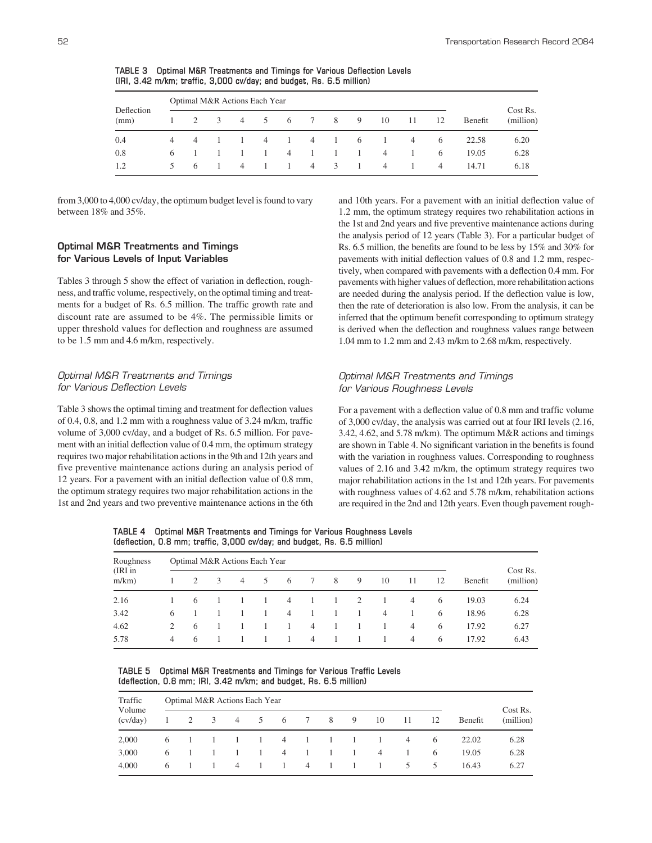| Deflection<br>(mm) |                | Optimal M&R Actions Each Year |                   |                |             |          |             |          |                |      |                |         |                       |
|--------------------|----------------|-------------------------------|-------------------|----------------|-------------|----------|-------------|----------|----------------|------|----------------|---------|-----------------------|
|                    |                | <sup>2</sup>                  | -3                |                | 4 5 6 7 8   |          |             | 9        | 10             | - 11 | 12             | Benefit | Cost Rs.<br>(million) |
| 0.4                | $\overline{4}$ | $\overline{4}$                | $\sim$ 1 $\sim$ 1 |                | 4 1 4 1 6 1 |          |             |          |                | 4    | - 6            | 22.58   | 6.20                  |
| 0.8                |                | 6 1                           |                   |                | $\sim$ 1    | 4 1 1    |             | $\sim$ 1 | $\overline{4}$ |      | -6             | 19.05   | 6.28                  |
| 1.2                | $5^{\circ}$    | - 6                           |                   | $\overline{4}$ |             | $\sim$ 1 | $4 \quad 3$ | $\sim$ 1 | $\overline{4}$ |      | $\overline{4}$ | 14.71   | 6.18                  |

**TABLE 3 Optimal M&R Treatments and Timings for Various Deflection Levels (IRI, 3.42 m/km; traffic, 3,000 cv/day; and budget, Rs. 6.5 million)**

from 3,000 to 4,000 cv/day, the optimum budget level is found to vary between 18% and 35%.

## Optimal M&R Treatments and Timings for Various Levels of Input Variables

Tables 3 through 5 show the effect of variation in deflection, roughness, and traffic volume, respectively, on the optimal timing and treatments for a budget of Rs. 6.5 million. The traffic growth rate and discount rate are assumed to be 4%. The permissible limits or upper threshold values for deflection and roughness are assumed to be 1.5 mm and 4.6 m/km, respectively.

## Optimal M&R Treatments and Timings for Various Deflection Levels

Table 3 shows the optimal timing and treatment for deflection values of 0.4, 0.8, and 1.2 mm with a roughness value of 3.24 m/km, traffic volume of 3,000 cv/day, and a budget of Rs. 6.5 million. For pavement with an initial deflection value of 0.4 mm, the optimum strategy requires two major rehabilitation actions in the 9th and 12th years and five preventive maintenance actions during an analysis period of 12 years. For a pavement with an initial deflection value of 0.8 mm, the optimum strategy requires two major rehabilitation actions in the 1st and 2nd years and two preventive maintenance actions in the 6th and 10th years. For a pavement with an initial deflection value of 1.2 mm, the optimum strategy requires two rehabilitation actions in the 1st and 2nd years and five preventive maintenance actions during the analysis period of 12 years (Table 3). For a particular budget of Rs. 6.5 million, the benefits are found to be less by 15% and 30% for pavements with initial deflection values of 0.8 and 1.2 mm, respectively, when compared with pavements with a deflection 0.4 mm. For pavements with higher values of deflection, more rehabilitation actions are needed during the analysis period. If the deflection value is low, then the rate of deterioration is also low. From the analysis, it can be inferred that the optimum benefit corresponding to optimum strategy is derived when the deflection and roughness values range between 1.04 mm to 1.2 mm and 2.43 m/km to 2.68 m/km, respectively.

## Optimal M&R Treatments and Timings for Various Roughness Levels

For a pavement with a deflection value of 0.8 mm and traffic volume of 3,000 cv/day, the analysis was carried out at four IRI levels (2.16, 3.42, 4.62, and 5.78 m/km). The optimum M&R actions and timings are shown in Table 4. No significant variation in the benefits is found with the variation in roughness values. Corresponding to roughness values of 2.16 and 3.42 m/km, the optimum strategy requires two major rehabilitation actions in the 1st and 12th years. For pavements with roughness values of 4.62 and 5.78 m/km, rehabilitation actions are required in the 2nd and 12th years. Even though pavement rough-

**TABLE 4 Optimal M&R Treatments and Timings for Various Roughness Levels (deflection, 0.8 mm; traffic, 3,000 cv/day; and budget, Rs. 6.5 million)**

| Roughness<br>(IRI in<br>$m/km$ ) |         | Optimal M&R Actions Each Year |   |                |              |              |                |                |                |                |                |    |         |                       |
|----------------------------------|---------|-------------------------------|---|----------------|--------------|--------------|----------------|----------------|----------------|----------------|----------------|----|---------|-----------------------|
|                                  |         | 2                             | 3 | $\overline{4}$ | 5            | 6            | 7              | 8              | 9              | 10             | 11             | 12 | Benefit | Cost Rs.<br>(million) |
| 2.16                             |         | 6                             |   |                | $\sim$ 1     | 4 1          |                | 1              | $\overline{2}$ | -1             | 4              | 6  | 19.03   | 6.24                  |
| 3.42                             | 6       |                               |   |                | $\mathbf{1}$ | $\sim$ 4     | $\frac{1}{2}$  | -1             | $\overline{1}$ | $\overline{4}$ |                | 6  | 18.96   | 6.28                  |
| 4.62                             | $2^{1}$ | 6                             |   |                | $\mathbf{1}$ | $\mathbf{1}$ | $\overline{4}$ | $\overline{1}$ |                | -1             | $\overline{4}$ | 6  | 17.92   | 6.27                  |
| 5.78                             | 4       | 6                             |   |                |              | $\mathbf{1}$ | $\overline{4}$ |                |                |                | $\overline{4}$ | 6  | 17.92   | 6.43                  |

**TABLE 5 Optimal M&R Treatments and Timings for Various Traffic Levels (deflection, 0.8 mm; IRI, 3.42 m/km; and budget, Rs. 6.5 million)**

| Traffic            |   | Optimal M&R Actions Each Year |    |                |                       |                |                |       |          |                |                |    |       |      |
|--------------------|---|-------------------------------|----|----------------|-----------------------|----------------|----------------|-------|----------|----------------|----------------|----|-------|------|
| Volume<br>(cv/day) |   |                               | 12 | Benefit        | Cost Rs.<br>(million) |                |                |       |          |                |                |    |       |      |
| 2,000              | 6 |                               |    |                | -1                    | $\overline{4}$ |                | 1 1 1 |          | -1             | $\overline{4}$ | 6  | 22.02 | 6.28 |
| 3,000              | 6 |                               |    |                |                       | $\overline{4}$ | $\overline{1}$ |       | $\sim$ 1 | $\overline{4}$ |                | 6  | 19.05 | 6.28 |
| 4.000              | 6 |                               |    | $\overline{4}$ |                       | -1             | $\overline{4}$ |       |          |                | .5             | 5. | 16.43 | 6.27 |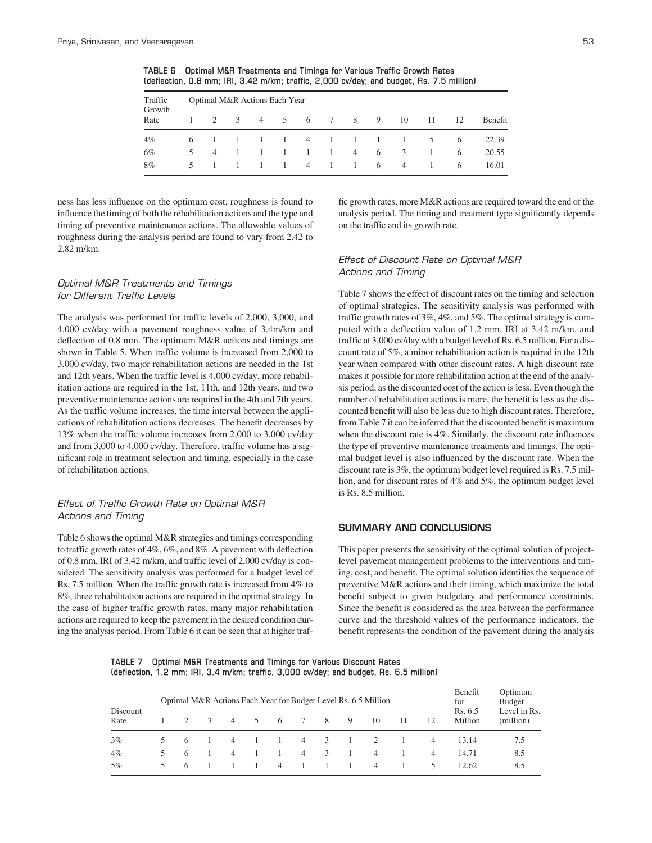**TABLE 6 Optimal M&R Treatments and Timings for Various Traffic Growth Rates (deflection, 0.8 mm; IRI, 3.42 m/km; traffic, 2,000 cv/day; and budget, Rs. 7.5 million)**

| Traffic        |             | Optimal M&R Actions Each Year |   |              |                |                |                |          |               |                         |    |    |         |  |  |  |
|----------------|-------------|-------------------------------|---|--------------|----------------|----------------|----------------|----------|---------------|-------------------------|----|----|---------|--|--|--|
| Growth<br>Rate | $1 \quad$   | 2                             | 3 |              |                | 4 5 6 7        |                | - 8      | 9             | - 10                    | 11 | 12 | Benefit |  |  |  |
| $4\%$          |             | 6 1 1                         |   |              |                |                |                |          | 1 1 4 1 1 1 1 |                         | -5 | -6 | 22.39   |  |  |  |
| 6%             | $\sim$      | $\sim$ 4                      |   | $\mathbf{1}$ | $\overline{1}$ | 1 1 4          |                |          | 6             | $\overline{\mathbf{3}}$ |    | 6  | 20.55   |  |  |  |
| 8%             | $5^{\circ}$ |                               |   |              | $\overline{1}$ | $\overline{4}$ | $\overline{1}$ | $\sim$ 1 | 6             | 4                       |    | 6  | 16.01   |  |  |  |

ness has less influence on the optimum cost, roughness is found to influence the timing of both the rehabilitation actions and the type and timing of preventive maintenance actions. The allowable values of roughness during the analysis period are found to vary from 2.42 to 2.82 m/km.

## Optimal M&R Treatments and Timings for Different Traffic Levels

The analysis was performed for traffic levels of 2,000, 3,000, and 4,000 cv/day with a pavement roughness value of 3.4m/km and deflection of 0.8 mm. The optimum M&R actions and timings are shown in Table 5. When traffic volume is increased from 2,000 to 3,000 cv/day, two major rehabilitation actions are needed in the 1st and 12th years. When the traffic level is 4,000 cv/day, more rehabilitation actions are required in the 1st, 11th, and 12th years, and two preventive maintenance actions are required in the 4th and 7th years. As the traffic volume increases, the time interval between the applications of rehabilitation actions decreases. The benefit decreases by 13% when the traffic volume increases from 2,000 to 3,000 cv/day and from 3,000 to 4,000 cv/day. Therefore, traffic volume has a significant role in treatment selection and timing, especially in the case of rehabilitation actions.

## Effect of Traffic Growth Rate on Optimal M&R Actions and Timing

Table 6 shows the optimal M&R strategies and timings corresponding to traffic growth rates of 4%, 6%, and 8%. A pavement with deflection of 0.8 mm, IRI of 3.42 m/km, and traffic level of 2,000 cv/day is considered. The sensitivity analysis was performed for a budget level of Rs. 7.5 million. When the traffic growth rate is increased from 4% to 8%, three rehabilitation actions are required in the optimal strategy. In the case of higher traffic growth rates, many major rehabilitation actions are required to keep the pavement in the desired condition during the analysis period. From Table 6 it can be seen that at higher traffic growth rates, more M&R actions are required toward the end of the analysis period. The timing and treatment type significantly depends on the traffic and its growth rate.

## Effect of Discount Rate on Optimal M&R Actions and Timing

Table 7 shows the effect of discount rates on the timing and selection of optimal strategies. The sensitivity analysis was performed with traffic growth rates of 3%, 4%, and 5%. The optimal strategy is computed with a deflection value of 1.2 mm, IRI at 3.42 m/km, and traffic at 3,000 cv/day with a budget level of Rs. 6.5 million. For a discount rate of 5%, a minor rehabilitation action is required in the 12th year when compared with other discount rates. A high discount rate makes it possible for more rehabilitation action at the end of the analysis period, as the discounted cost of the action is less. Even though the number of rehabilitation actions is more, the benefit is less as the discounted benefit will also be less due to high discount rates. Therefore, from Table 7 it can be inferred that the discounted benefit is maximum when the discount rate is 4%. Similarly, the discount rate influences the type of preventive maintenance treatments and timings. The optimal budget level is also influenced by the discount rate. When the discount rate is 3%, the optimum budget level required is Rs. 7.5 million, and for discount rates of 4% and 5%, the optimum budget level is Rs. 8.5 million.

## SUMMARY AND CONCLUSIONS

This paper presents the sensitivity of the optimal solution of projectlevel pavement management problems to the interventions and timing, cost, and benefit. The optimal solution identifies the sequence of preventive M&R actions and their timing, which maximize the total benefit subject to given budgetary and performance constraints. Since the benefit is considered as the area between the performance curve and the threshold values of the performance indicators, the benefit represents the condition of the pavement during the analysis

**TABLE 7 Optimal M&R Treatments and Timings for Various Discount Rates (deflection, 1.2 mm; IRI, 3.4 m/km; traffic, 3,000 cv/day; and budget, Rs. 6.5 million)**

|                  |    | Optimal M&R Actions Each Year for Budget Level Rs. 6.5 Million |   |                | Benefit<br>for | Optimum<br>Budget |                |                         |          |                             |    |    |                    |                           |
|------------------|----|----------------------------------------------------------------|---|----------------|----------------|-------------------|----------------|-------------------------|----------|-----------------------------|----|----|--------------------|---------------------------|
| Discount<br>Rate |    |                                                                | 3 | 4              | 5              | 6                 | 7              | 8                       | 9        | 10                          | 11 | 12 | Rs. 6.5<br>Million | Level in Rs.<br>(million) |
| 3%               | 5. | 6                                                              |   | $\overline{4}$ |                | $\sim$ 1          | $\overline{4}$ | $\overline{\mathbf{3}}$ | $\sim$ 1 | $\mathcal{D}_{\mathcal{L}}$ |    | 4  | 13.14              | 7.5                       |
| $4\%$            | 5. | 6                                                              |   | $\overline{4}$ |                |                   | $\overline{4}$ | 3                       |          | 4                           |    | 4  | 14.71              | 8.5                       |
| 5%               | 5. | 6                                                              |   |                |                | $\overline{4}$    |                |                         |          | 4                           |    | 5  | 12.62              | 8.5                       |